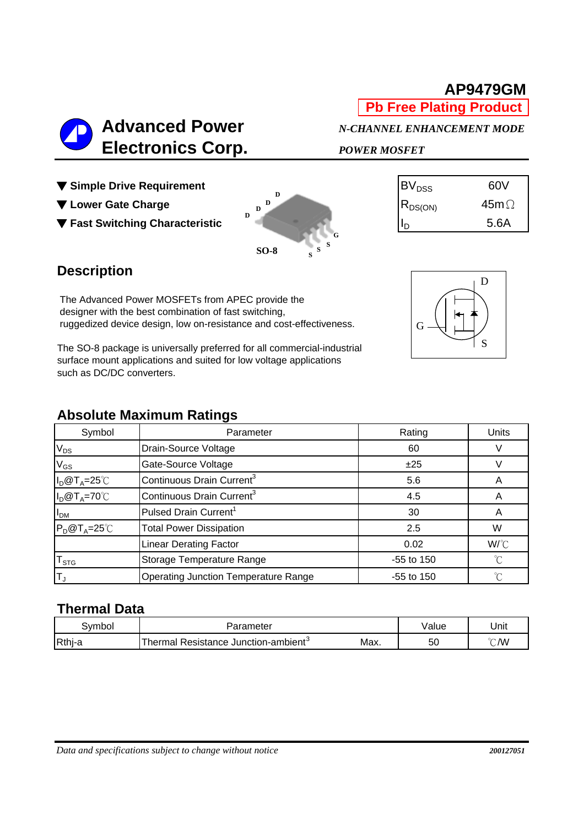# **AP9479GM**

**Pb Free Plating Product**

## **Advanced Power** *N-CHANNEL ENHANCEMENT MODE*  **Electronics Corp.** *POWER MOSFET*

- ▼ Simple Drive Requirement
- ▼ Lower Gate Charge
- ▼ Fast Switching Characteristic



| $\mathsf{BV}_{\mathtt{DSS}}$             | 60V         |
|------------------------------------------|-------------|
| $\mathsf{IR}_{\mathsf{DS}(\mathsf{ON})}$ | $45m\Omega$ |
|                                          | 5.6A        |

### **Description**

The Advanced Power MOSFETs from APEC provide the designer with the best combination of fast switching, ruggedized device design, low on-resistance and cost-effectiveness.

The SO-8 package is universally preferred for all commercial-industrial surface mount applications and suited for low voltage applications such as DC/DC converters.

#### **Absolute Maximum Ratings**

| Symbol                | Parameter                                   | Rating       |             |  |  |  |
|-----------------------|---------------------------------------------|--------------|-------------|--|--|--|
| $V_{DS}$              | Drain-Source Voltage                        | 60           |             |  |  |  |
| $V_{GS}$              | Gate-Source Voltage                         | ±25          |             |  |  |  |
| $I_D@T_A=25^{\circ}C$ | Continuous Drain Current <sup>3</sup>       | 5.6          | A           |  |  |  |
| $I_D@T_A=70°C$        | Continuous Drain Current <sup>3</sup>       | 4.5          | A           |  |  |  |
| I <sub>DM</sub>       | Pulsed Drain Current <sup>1</sup>           | 30           | Α           |  |  |  |
| $P_D@T_A=25^{\circ}C$ | <b>Total Power Dissipation</b>              | 2.5          | W           |  |  |  |
|                       | <b>Linear Derating Factor</b>               | 0.02         | W/°C        |  |  |  |
| $T_{STG}$             | Storage Temperature Range                   | -55 to 150   | °C          |  |  |  |
| İΤ,                   | <b>Operating Junction Temperature Range</b> | $-55$ to 150 | $^{\circ}C$ |  |  |  |

#### **Thermal Data**

| Svmbol | Parameter                                |      | √alue | Unit          |
|--------|------------------------------------------|------|-------|---------------|
| Rthj-a | J Resistance Junction-ambient<br>Thermal | Max. | 50    | $\degree$ C/W |

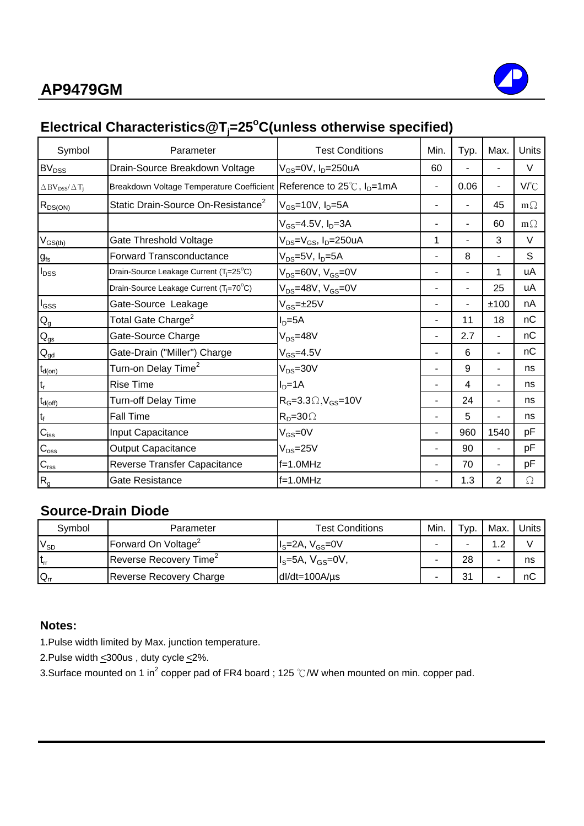

## **Electrical Characteristics@Tj =25o C(unless otherwise specified)**

| Symbol                                              | Parameter                                                                       | <b>Test Conditions</b>                    | Min. | Typ. | Max.                     | Units     |
|-----------------------------------------------------|---------------------------------------------------------------------------------|-------------------------------------------|------|------|--------------------------|-----------|
| BV <sub>DSS</sub>                                   | Drain-Source Breakdown Voltage                                                  | $V_{GS}$ =0V, $I_D$ =250uA                | 60   |      |                          | $\vee$    |
| $\Delta$ BV <sub>DSS</sub> $/\Delta$ T <sub>i</sub> | Breakdown Voltage Temperature Coefficient Reference to 25℃, I <sub>D</sub> =1mA |                                           |      | 0.06 | Ξ.                       | V/°C      |
| $R_{DS(ON)}$                                        | Static Drain-Source On-Resistance <sup>2</sup>                                  | $V_{GS}$ =10V, $I_D$ =5A                  |      |      | 45                       | $m\Omega$ |
|                                                     |                                                                                 | $V_{GS} = 4.5V$ , $I_D = 3A$              |      |      | 60                       | $m\Omega$ |
| $V_{GS(th)}$                                        | Gate Threshold Voltage                                                          | $V_{DS} = V_{GS}$ , I <sub>D</sub> =250uA | 1    |      | 3                        | $\vee$    |
| $g_{\rm fs}$                                        | <b>Forward Transconductance</b>                                                 | $V_{DS}$ =5V, $I_D$ =5A                   |      | 8    | ÷.                       | S         |
| $I_{DSS}$                                           | Drain-Source Leakage Current (T <sub>i</sub> =25°C)                             | $V_{DS} = 60V$ , $V_{GS} = 0V$            |      | ä,   | 1                        | uA        |
|                                                     | Drain-Source Leakage Current (T <sub>i</sub> =70°C)                             | $V_{DS} = 48V$ , $V_{GS} = 0V$            |      | L,   | 25                       | uA        |
| $I_{GSS}$                                           | Gate-Source Leakage                                                             | $V_{GS}$ =±25 $V$                         |      |      | ±100                     | nA        |
| $\mathsf{Q}_{\mathsf{g}}$                           | Total Gate Charge <sup>2</sup>                                                  | $ID=5A$                                   |      | 11   | 18                       | nC        |
| $\mathbf{Q}_{\text{gs}}$                            | Gate-Source Charge                                                              | $V_{DS} = 48V$                            |      | 2.7  | $\blacksquare$           | nC        |
| $Q_{gd}$                                            | Gate-Drain ("Miller") Charge                                                    | $V_{GS} = 4.5V$                           |      | 6    | ٠                        | nC        |
| $t_{d(on)}$                                         | Turn-on Delay Time <sup>2</sup>                                                 | $V_{DS} = 30V$                            |      | 9    | $\overline{\phantom{0}}$ | ns        |
| $t_r$                                               | <b>Rise Time</b>                                                                | $ID=1A$                                   |      | 4    |                          | ns        |
| $t_{d(\text{off})}$                                 | <b>Turn-off Delay Time</b>                                                      | $RG=3.3\Omega, VGS=10V$                   |      | 24   | $\blacksquare$           | ns        |
| $t_f$                                               | <b>Fall Time</b>                                                                | $R_p = 30 \Omega$                         |      | 5    | ÷.                       | ns        |
| $C_{iss}$                                           | Input Capacitance                                                               | $V_{GS} = 0V$                             |      | 960  | 1540                     | pF        |
| $C_{\rm oss}$                                       | <b>Output Capacitance</b>                                                       | $V_{DS} = 25V$                            |      | 90   | ÷.                       | pF        |
| $C_{\rm rss}$                                       | Reverse Transfer Capacitance                                                    | $f=1.0MHz$                                |      | 70   | ÷.                       | pF        |
| $R_{g}$                                             | Gate Resistance                                                                 | $f=1.0$ MHz                               |      | 1.3  | 2                        | Ω         |

#### **Source-Drain Diode**

| Svmbol           | Parameter                          | <b>Test Conditions</b> | Min. | $TVP$ . | Max.   | Units |
|------------------|------------------------------------|------------------------|------|---------|--------|-------|
| $V_{SD}$         | Forward On Voltage <sup>2</sup>    | $IS=2A, VGS=0V$        | -    |         | $\sim$ |       |
| lt <sub>rr</sub> | Reverse Recovery Time <sup>2</sup> | $Is=5A, VGS=0V,$       |      | 28      |        | ns    |
| $Q_{rr}$         | <b>Reverse Recovery Charge</b>     | $dl/dt = 100A/\mu s$   | -    | ু       | -      | nС    |

#### **Notes:**

1.Pulse width limited by Max. junction temperature.

2.Pulse width  $\leq$ 300us, duty cycle  $\leq$ 2%.

3.Surface mounted on 1 in<sup>2</sup> copper pad of FR4 board ; 125 °C/W when mounted on min. copper pad.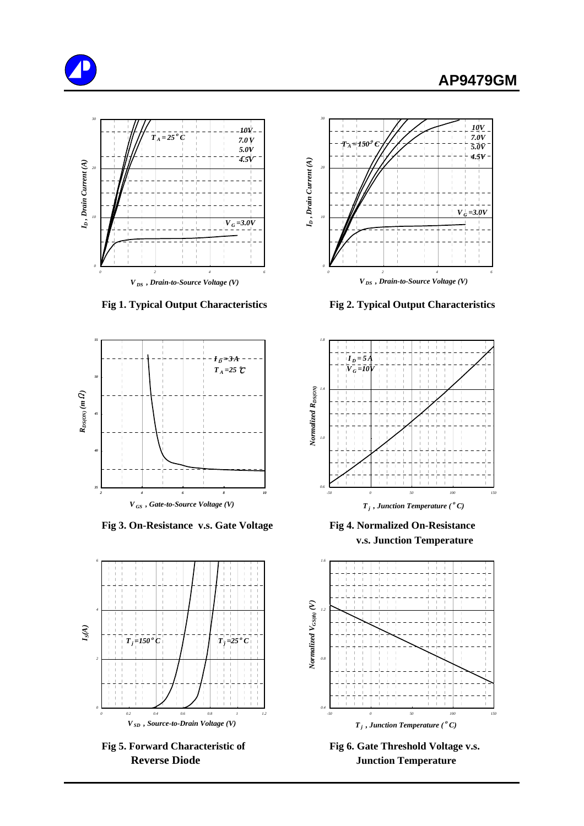





 **Fig 3. On-Resistance v.s. Gate Voltage Fig 4. Normalized On-Resistance**





 **Fig 1. Typical Output Characteristics Fig 2. Typical Output Characteristics**



 **v.s. Junction Temperature**



Fig 5. Forward Characteristic of Fig 6. Gate Threshold Voltage v.s. **Reverse Diode Junction Temperature**